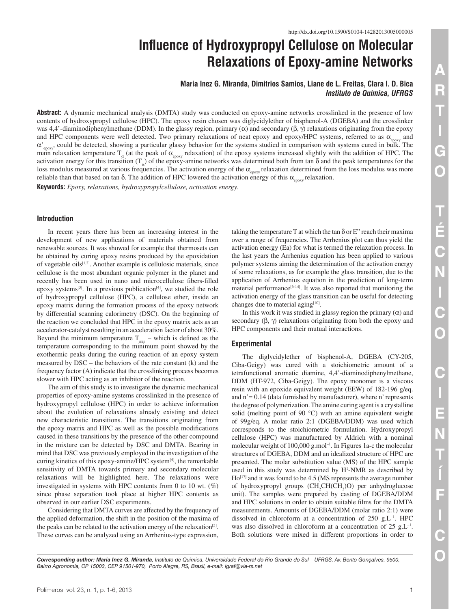# **Influence of Hydroxypropyl Cellulose on Molecular Relaxations of Epoxy-amine Networks**

# **Maria Inez G. Miranda, Dimitrios Samios, Liane de L. Freitas, Clara I. D. Bica** *Instituto de Química, UFRGS*

**Abstract:** A dynamic mechanical analysis (DMTA) study was conducted on epoxy-amine networks crosslinked in the presence of low contents of hydroxypropyl cellulose (HPC). The epoxy resin chosen was diglycidylether of bisphenol-A (DGEBA) and the crosslinker was 4,4'-diaminodiphenylmethane (DDM). In the glassy region, primary (α) and secondary (β, γ) relaxations originating from the epoxy and HPC components were well detected. Two primary relaxations of neat epoxy and epoxy/HPC systems, referred to as  $\alpha_{\text{arrows}}$  and  $\alpha'_{\text{env}}$  could be detected, showing a particular glassy behavior for the systems studied in comparison with systems cured in bulk. The main relaxation temperature  $T_{\alpha}$  (at the peak of  $\alpha_{\text{epoxy}}$  relaxation) of the epoxy systems increased slightly with the addition of HPC. The activation energy for this transition  $(T_{\alpha})$  of the epoxy-amine networks was determined both from tan  $\delta$  and the peak temperatures for the loss modulus measured at various frequencies. The activation energy of the  $\alpha_{\text{energy}}$  relaxation determined from the loss modulus was more reliable than that based on tan δ. The addition of HPC lowered the activation energy of this  $α_{\text{env}}$  relaxation.

**Keywords:** *Epoxy, relaxations, hydroxypropylcellulose, activation energy.*

## **Introduction**

In recent years there has been an increasing interest in the development of new applications of materials obtained from renewable sources. It was showed for example that thermosets can be obtained by curing epoxy resins produced by the epoxidation of vegetable oils[1,2]. Another example is cellulosic materials, since cellulose is the most abundant organic polymer in the planet and recently has been used in nano and microcellulose fibers-filled epoxy systems<sup>[3]</sup>. In a previous publication<sup>[4]</sup>, we studied the role of hydroxypropyl cellulose (HPC), a cellulose ether, inside an epoxy matrix during the formation process of the epoxy network by differential scanning calorimetry (DSC). On the beginning of the reaction we concluded that HPC in the epoxy matrix acts as an accelerator-catalyst resulting in an acceleration factor of about 30%. Beyond the minimum temperature  $T_{min}$  – which is defined as the temperature corresponding to the minimum point showed by the exothermic peaks during the curing reaction of an epoxy system measured by DSC – the behaviors of the rate constant (k) and the frequency factor (A) indicate that the crosslinking process becomes slower with HPC acting as an inhibitor of the reaction.

The aim of this study is to investigate the dynamic mechanical properties of epoxy-amine systems crosslinked in the presence of hydroxypropyl cellulose (HPC) in order to achieve information about the evolution of relaxations already existing and detect new characteristic transitions. The transitions originating from the epoxy matrix and HPC as well as the possible modifications caused in these transitions by the presence of the other compound in the mixture can be detected by DSC and DMTA. Bearing in mind that DSC was previously employed in the investigation of the curing kinetics of this epoxy-amine/HPC system<sup>[4]</sup>, the remarkable sensitivity of DMTA towards primary and secondary molecular relaxations will be highlighted here. The relaxations were investigated in systems with HPC contents from 0 to 10 wt. (%) since phase separation took place at higher HPC contents as observed in our earlier DSC experiments.

Considering that DMTA curves are affected by the frequency of the applied deformation, the shift in the position of the maxima of the peaks can be related to the activation energy of the relaxation<sup>[5]</sup>. These curves can be analyzed using an Arrhenius-type expression, taking the temperature T at which the tan  $\delta$  or E" reach their maxima over a range of frequencies. The Arrhenius plot can thus yield the activation energy (Ea) for what is termed the relaxation process. In the last years the Arrhenius equation has been applied to various polymer systems aiming the determination of the activation energy of some relaxations, as for example the glass transition, due to the application of Arrhenius equation in the prediction of long-term material performance $[6-14]$ . It was also reported that monitoring the activation energy of the glass transition can be useful for detecting changes due to material aging $[10]$ .

In this work it was studied in glassy region the primary  $(\alpha)$  and secondary  $(\beta, \gamma)$  relaxations originating from both the epoxy and HPC components and their mutual interactions.

## **Experimental**

The diglycidylether of bisphenol-A, DGEBA (CY-205, Ciba-Geigy) was cured with a stoichiometric amount of a tetrafunctional aromatic diamine, 4,4'-diaminodiphenylmethane, DDM (HT-972, Ciba-Geigy). The epoxy monomer is a viscous resin with an epoxide equivalent weight (EEW) of 182-196 g/eq. and  $n' = 0.14$  (data furnished by manufacturer), where n' represents the degree of polymerization. The amine curing agent is a crystalline solid (melting point of 90 °C) with an amine equivalent weight of 99g/eq. A molar ratio 2:1 (DGEBA/DDM) was used which corresponds to the stoichiometric formulation. Hydroxypropyl cellulose (HPC) was manufactured by Aldrich with a nominal molecular weight of 100,000<g.mol><sup>-1</sup>. In Figures 1a-c the molecular structures of DGEBA, DDM and an idealized structure of HPC are presented. The molar substitution value (MS) of the HPC sample used in this study was determined by H<sup>1</sup>-NMR as described by Ho<sup>[17]</sup> and it was found to be 4.5 (MS represents the average number of hydroxypropyl groups (CH<sub>2</sub>CH(CH<sub>3</sub>)O) per anhydroglucose unit). The samples were prepared by casting of DGEBA/DDM and HPC solutions in order to obtain suitable films for the DMTA measurements. Amounts of DGEBA/DDM (molar ratio 2:1) were dissolved in chloroform at a concentration of  $250$  g.L<sup>-1</sup>. HPC was also dissolved in chloroform at a concentration of  $25 \text{ g.L}^{-1}$ . Both solutions were mixed in different proportions in order to

*Corresponding author: Maria Inez G. Miranda, Instituto de Química, Universidade Federal do Rio Grande do Sul – UFRGS, Av. Bento Gonçalves, 9500, Bairro Agronomia, CP 15003, CEP 91501-970, Porto Alegre, RS, Brasil, e-mail: igraf@<via-rs.net>*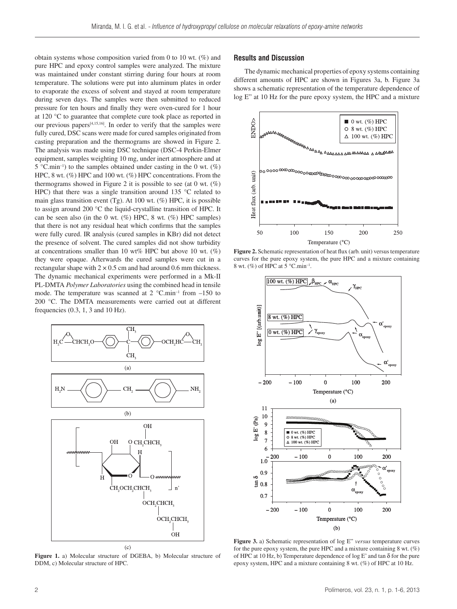obtain systems whose composition varied from 0 to 10 wt. (%) and pure HPC and epoxy control samples were analyzed. The mixture was maintained under constant stirring during four hours at room temperature. The solutions were put into aluminum plates in order to evaporate the excess of solvent and stayed at room temperature during seven days. The samples were then submitted to reduced pressure for ten hours and finally they were oven-cured for 1 hour at 120 °C to guarantee that complete cure took place as reported in our previous papers<sup>[4,15,16]</sup>. In order to verify that the samples were fully cured, DSC scans were made for cured samples originated from casting preparation and the thermograms are showed in Figure 2. The analysis was made using DSC technique (DSC-4 Perkin-Elmer equipment, samples weighting 10 mg, under inert atmosphere and at 5 [°C.min](C.min)<sup>-1</sup>) to the samples obtained under casting in the 0 wt. (%) HPC, 8 wt. (%) HPC and 100 wt. (%) HPC concentrations. From the thermograms showed in Figure 2 it is possible to see (at 0 wt.  $(\%)$ ) HPC) that there was a single transition around 135 °C related to main glass transition event (Tg). At 100 wt.  $(\%)$  HPC, it is possible to assign around 200 °C the liquid-crystalline transition of HPC. It can be seen also (in the 0 wt.  $(\%)$  HPC, 8 wt.  $(\%)$  HPC samples) that there is not any residual heat which confirms that the samples were fully cured. IR analysis (cured samples in KBr) did not detect the presence of solvent. The cured samples did not show turbidity at concentrations smaller than 10 wt% HPC but above 10 wt.  $(\%)$ they were opaque. Afterwards the cured samples were cut in a rectangular shape with  $2 \times 0.5$  cm and had around 0.6 mm thickness. The dynamic mechanical experiments were performed in a Mk-II PL-DMTA *Polymer Laboratories* using the combined head in tensile mode. The temperature was scanned at  $2^{\circ}$ C.min<sup>-1</sup> from  $-150$  to 200 °C. The DMTA measurements were carried out at different frequencies (0.3, 1, 3 and 10 Hz).



**Figure 1.** a) Molecular structure of DGEBA, b) Molecular structure of DDM, c) Molecular structure of HPC.

# **Results and Discussion**

The dynamic mechanical properties of epoxy systems containing different amounts of HPC are shown in Figures 3a, b. Figure 3a shows a schematic representation of the temperature dependence of log E" at 10 Hz for the pure epoxy system, the HPC and a mixture



**Figure 2.** Schematic representation of heat flux (arb. unit) versus temperature curves for the pure epoxy system, the pure HPC and a mixture containing 8 wt. (%) of HPC at  $5^{\circ}$ C.min<sup>-1</sup>.



**Figure 3.** a) Schematic representation of log E" *versus* temperature curves for the pure epoxy system, the pure HPC and a mixture containing 8 wt. (%) of HPC at 10 Hz, b) Temperature dependence of log E' and tan δ for the pure epoxy system, HPC and a mixture containing 8 wt. (%) of HPC at 10 Hz.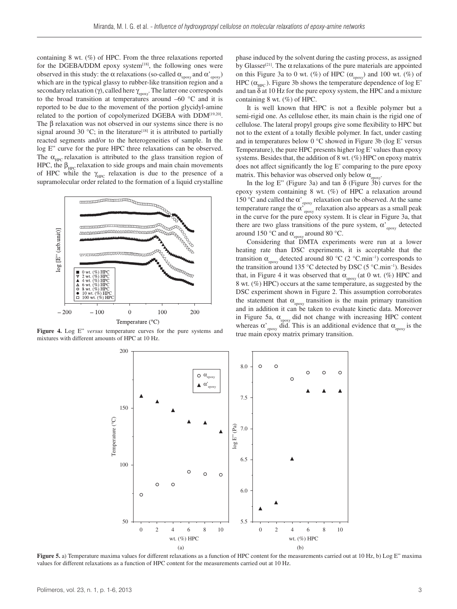containing 8 wt. (%) of HPC. From the three relaxations reported for the DGEBA/DDM epoxy system $[18]$ , the following ones were observed in this study: the α relaxations (so-called  $\alpha_{\text{epoxy}}$  and  $\alpha_{\text{epoxy}}'$ ) which are in the typical glassy to rubber-like transition region and a secondary relaxation (γ), called here  $\gamma_{\text{conv}}$ . The latter one corresponds to the broad transition at temperatures around –60 °C and it is reported to be due to the movement of the portion glycidyl-amine related to the portion of copolymerized DGEBA with DDM[19,20]. The β relaxation was not observed in our systems since there is no signal around 30  $^{\circ}$ C; in the literature<sup>[18]</sup> it is attributed to partially reacted segments and/or to the heterogeneities of sample. In the log E" curve for the pure HPC three relaxations can be observed. The  $\alpha_{\text{HPC}}$  relaxation is attributed to the glass transition region of HPC, the  $\beta_{\text{HPC}}$  relaxation to side groups and main chain movements of HPC while the  $\gamma$ <sub>HPC</sub> relaxation is due to the presence of a supramolecular order related to the formation of a liquid crystalline



**Figure 4.** Log E" *versus* temperature curves for the pure systems and mixtures with different amounts of HPC at 10 Hz.

phase induced by the solvent during the casting process, as assigned by Glasser<sup>[21]</sup>. The  $\alpha$  relaxations of the pure materials are appointed on this Figure 3a to 0 wt. (%) of HPC  $(\alpha_{\text{epoxy}})$  and 100 wt. (%) of HPC  $(\alpha_{\text{HPC}})$ . Figure 3b shows the temperature dependence of log E' and tan  $\delta$  at 10 Hz for the pure epoxy system, the HPC and a mixture containing 8 wt. (%) of HPC.

It is well known that HPC is not a flexible polymer but a semi-rigid one. As cellulose ether, its main chain is the rigid one of cellulose. The lateral propyl groups give some flexibility to HPC but not to the extent of a totally flexible polymer. In fact, under casting and in temperatures below 0 °C showed in Figure 3b (log E' versus Temperature), the pure HPC presents higher log E' values than epoxy systems. Besides that, the addition of 8 wt. (%) HPC on epoxy matrix does not affect significantly the log E' comparing to the pure epoxy matrix. This behavior was observed only below  $\alpha_{\text{env}}$ .

In the log E" (Figure 3a) and tan  $\delta$  (Figure 3b) curves for the epoxy system containing 8 wt. (%) of HPC a relaxation around 150 °C and called the  $\alpha$ <sup>'</sup><sub>epoxy</sub> relaxation can be observed. At the same temperature range the  $\alpha'_{\text{epoxy}}$  relaxation also appears as a small peak in the curve for the pure epoxy system. It is clear in Figure 3a, that there are two glass transitions of the pure system,  $\alpha$ <sup>'</sup><sub>epoxy</sub> detected around 150 °C and  $\alpha_{\text{enovy}}$  around 80 °C.

Considering that DMTA experiments were run at a lower heating rate than DSC experiments, it is acceptable that the transition  $\alpha_{\text{enov}}$  detected around 80 °C (2 °C.min<sup>-1</sup>) corresponds to the transition around 135 °C detected by DSC (5 [°C.min](C.min)<sup>-1</sup>). Besides that, in Figure 4 it was observed that  $\alpha_{\text{epoxy}}$  (at 0 wt. (%) HPC and 8 wt. (%) HPC) occurs at the same temperature, as suggested by the DSC experiment shown in Figure 2. This assumption corroborates the statement that  $\alpha_{\text{epoxy}}$  transition is the main primary transition and in addition it can be taken to evaluate kinetic data. Moreover in Figure 5a,  $\alpha_{\text{enoxy}}$  did not change with increasing HPC content whereas  $\alpha'_{\text{epoxy}}$  did. This is an additional evidence that  $\alpha_{\text{epoxy}}$  is the true main epoxy matrix primary transition.



**Figure** 5. a) Temperature maxima values for different relaxations as a function of HPC content for the measurements carried out at 10 Hz, b) Log E" maxima values for different relaxations as a function of HPC content for the measurements carried out at 10 Hz.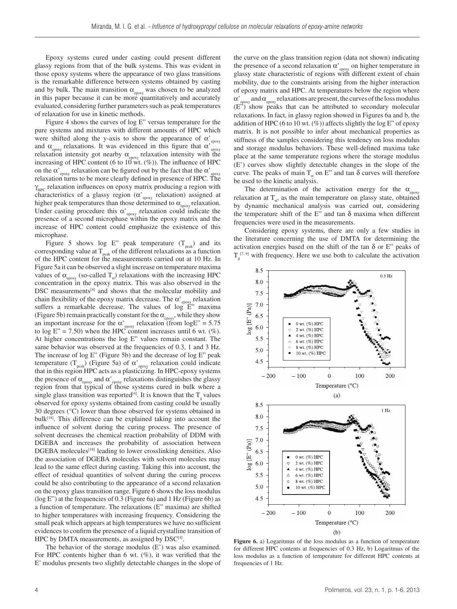Epoxy systems cured under casting could present different glassy regions from that of the bulk systems. This was evident in those epoxy systems where the appearance of two glass transitions is the remarkable difference between systems obtained by casting and by bulk. The main transition  $\alpha_{\text{conv}}$  was chosen to be analyzed in this paper because it can be more quantitatively and accurately evaluated, considering further parameters such as peak temperatures of relaxation for use in kinetic methods.

Figure 4 shows the curves of log E" versus temperature for the pure systems and mixtures with different amounts of HPC which were shifted along the y-axis to show the appearance of  $\alpha$ <sup>'</sup><sub>epoxy</sub> and  $\alpha_{\text{env}}$  relaxations. It was evidenced in this figure that  $\alpha_{\text{env}}$ relaxation intensity got nearby  $\alpha_{\text{epoxy}}$  relaxation intensity with the increasing of HPC content (6 to  $10^{\degree}$  wt.  $(\%)$ ). The influence of HPC on the  $\alpha'_{\text{epoxy}}$  relaxation can be figured out by the fact that the  $\alpha'_{\text{epoxy}}$ relaxation turns to be more clearly defined in presence of HPC. The  $\gamma_{\text{HPC}}$  relaxation influences on epoxy matrix producing a region with characteristics of a glassy region ( $\alpha$ <sup>'</sup><sub>epoxy</sub> relaxation) assigned at higher peak temperatures than those determined to  $\alpha_{\text{epoxy}}$  relaxation. Under casting procedure this  $\alpha$ <sup>'</sup><sub>epoxy</sub> relaxation could indicate the presence of a second microphase within the epoxy matrix and the increase of HPC content could emphasize the existence of this microphase.

Figure 5 shows log E" peak temperature  $(T_{peak})$  and its corresponding value at  $T_{peak}$  of the different relaxations as a function of the HPC content for the measurements carried out at 10 Hz. In Figure 5a it can be observed a slight increase on temperature maxima values of  $\alpha_{\text{epoxy}}$  (so-called  $T_a$ ) relaxations with the increasing HPC concentration in the epoxy matrix. This was also observed in the DSC measurements<sup>[4]</sup> and shows that the molecular mobility and chain flexibility of the epoxy matrix decrease. The  $\alpha'_{\text{epo}xy}$  relaxation suffers a remarkable decrease. The values of  $\log E''''$  maxima (Figure 5b) remain practically constant for the  $\alpha_{\text{enow}}$ , while they show an important increase for the  $\alpha$ <sup>'</sup><sub>epoxy</sub> relaxation (from logE<sup>"</sup> = 5.75 to log  $E'' = 7.50$ ) when the HPC content increases until 6 wt. (%). At higher concentrations the log E" values remain constant. The same behavior was observed at the frequencies of 0.3, 1 and 3 Hz. The increase of log E" (Figure 5b) and the decrease of log E" peak temperature  $(T_{peak})$  (Figure 5a) of  $\alpha'_{epoxy}$  relaxation could indicate that in this region HPC acts as a plasticizing. In HPC-epoxy systems the presence of  $\alpha_{\text{epoxy}}$  and  $\alpha'_{\text{epoxy}}$  relaxations distinguishes the glassy region from that typical of those systems cured in bulk where a single glass transition was reported<sup>[4]</sup>. It is known that the  $T_{g}$  values observed for epoxy systems obtained from casting could be usually 30 degrees (°C) lower than those observed for systems obtained in  $bulk^{[18]}$ . This difference can be explained taking into account the influence of solvent during the curing process. The presence of solvent decreases the chemical reaction probability of DDM with DGEBA and increases the probability of association between  $DGEBA$  molecules<sup>[18]</sup> leading to lower crosslinking densities. Also the association of DGEBA molecules with solvent molecules may lead to the same effect during casting. Taking this into account, the effect of residual quantities of solvent during the curing process could be also contributing to the appearance of a second relaxation on the epoxy glass transition range. Figure 6 shows the loss modulus (log E") at the frequencies of 0.3 (Figure 6a) and 1 Hz (Figure 6b) as a function of temperature. The relaxations (E" maxima) are shifted to higher temperatures with increasing frequency. Considering the small peak which appears at high temperatures we have no sufficient evidences to confirm the presence of a liquid crystalline transition of HPC by DMTA measurements, as assigned by  $DSC^{[4]}$ .

The behavior of the storage modulus (E') was also examined. For HPC contents higher than 6 wt.  $(\%)$ , it was verified that the E' modulus presents two slightly detectable changes in the slope of the curve on the glass transition region (data not shown) indicating the presence of a second relaxation  $\alpha'_{\text{epoxy}}$  on higher temperature in glassy state characteristic of regions with different extent of chain mobility, due to the constraints arising from the higher interaction of epoxy matrix and HPC. At temperatures below the region where α'  $\epsilon_{\text{box}}$  and  $\alpha_{\text{conv}}$  relaxations are present, the curves of the loss modulus (E") show peaks that can be attributed to secondary molecular relaxations. In fact, in glassy region showed in Figures 6a and b, the addition of HPC (6 to 10 wt.  $(\%)$ ) affects slightly the log E" of epoxy matrix. It is not possible to infer about mechanical properties as stiffness of the samples considering this tendency on loss modulus and storage modulus behaviors. These well-defined maxima take place at the same temperature regions where the storage modulus (E') curves show slightly detectable changes in the slope of the curve. The peaks of main  $T_a$  on E" and tan  $\delta$  curves will therefore be used to the kinetic analysis.

The determination of the activation energy for the  $\alpha$ relaxation at  $T_{\alpha}$ , as the main temperature on glassy state, obtained by dynamic mechanical analysis was carried out, considering the temperature shift of the E" and tan  $\delta$  maxima when different frequencies were used in the measurements.

Considering epoxy systems, there are only a few studies in the literature concerning the use of DMTA for determining the activation energies based on the shift of the tan  $\delta$  or E" peaks of  $T_g^{[7, 9]}$  with frequency. Here we use both to calculate the activation



**Figure 6.** a) Logaritmus of the loss modulus as a function of temperature for different HPC contents at frequencies of 0.3 Hz, b) Logaritmus of the loss modulus as a function of temperature for different HPC contents at frequencies of 1 Hz.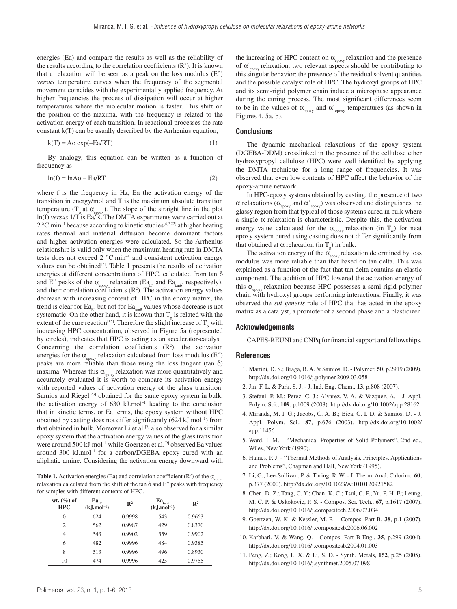energies (Ea) and compare the results as well as the reliability of the results according to the correlation coefficients  $(R<sup>2</sup>)$ . It is known that a relaxation will be seen as a peak on the loss modulus (E") *versus* temperature curves when the frequency of the segmental movement coincides with the experimentally applied frequency. At higher frequencies the process of dissipation will occur at higher temperatures where the molecular motion is faster. This shift on the position of the maxima, with the frequency is related to the activation energy of each transition. In reactional processes the rate constant k(T) can be usually described by the Arrhenius equation,

$$
k(T) = Ao \exp(-Ea/RT)
$$
 (1)

By analogy, this equation can be written as a function of frequency as

$$
ln(f) = lnAo – Ea/RT
$$
 (2)

where f is the frequency in Hz, Ea the activation energy of the transition in energy/mol and T is the maximum absolute transition temperature ( $T_a$  at  $\alpha_{\text{enov}}$ ). The slope of the straight line in the plot ln(f) *versus* 1/T is Ea/R. The DMTA experiments were carried out at 2 °<C.min>–1 because according to kinetic studies[4,7,22] at higher heating rates thermal and material diffusion become dominant factors and higher activation energies were calculated. So the Arrhenius relationship is valid only when the maximum heating rate in DMTA tests does not exceed  $2^{\circ}$ C.min<sup>-1</sup> and consistent activation energy values can be obtained<sup>[7]</sup>. Table 1 presents the results of activation energies at different concentrations of HPC, calculated from tan  $\delta$ and E" peaks of the  $\alpha_{\text{epoxy}}$  relaxation (Ea<sub>E"</sub> and Ea<sub>tan</sub><sub>8</sub>, respectively), and their correlation coefficients  $(R<sup>2</sup>)$ . The activation energy values decrease with increasing content of HPC in the epoxy matrix, the trend is clear for  $\text{Ea}_{\text{E}}$ , but not for  $\text{Ea}_{\text{tan}\delta}$  values whose decrease is not systematic. On the other hand, it is known that  $T_g$  is related with the extent of the cure reaction<sup>[15]</sup>. Therefore the slight increase of  $T_{\alpha}$  with increasing HPC concentration, observed in Figure 5a (represented by circles), indicates that HPC is acting as an accelerator-catalyst. Concerning the correlation coefficients  $(R^2)$ , the activation energies for the  $\alpha_{\text{energy}}$  relaxation calculated from loss modulus (E") peaks are more reliable than those using the loss tangent (tan  $\delta$ ) maxima. Whereas this  $\alpha_{\text{env}}$  relaxation was more quantitatively and accurately evaluated it is worth to compare its activation energy with reported values of activation energy of the glass transition. Samios and Riegel<sup>[23]</sup> obtained for the same epoxy system in bulk, the activation energy of  $630 \text{ kJ}$ .mol<sup>-1</sup> leading to the conclusion that in kinetic terms, or Ea terms, the epoxy system without HPC obtained by casting does not differ significantly  $(624 \text{ kJ.mol}^{-1})$  from that obtained in bulk. Moreover Li et al.<sup>[7]</sup> also observed for a similar epoxy system that the activation energy values of the glass transition were around 500 kJ.mol<sup>-1</sup> while Goertzen et al.<sup>[9]</sup> observed Ea values around 300 [kJ.mol–](kJ.mol)1 for a carbon/DGEBA epoxy cured with an aliphatic amine. Considering the activation energy downward with

**Table 1.** Activation energies (Ea) and correlation coefficient ( $\mathbb{R}^2$ ) of the  $\alpha_{\text{epoxy}}$ relaxation calculated from the shift of the tan  $\delta$  and E" peaks with frequency for samples with different contents of HPC.

| wt. $(\%)$ of<br><b>HPC</b> | $Ea_{\rm F}$<br>$(k, J. mol-1)$ | $\mathbb{R}^2$ | $\mathrm{Ea}_{\tan\!\delta}$<br>$(k, J. mol-1)$ | $\mathbb{R}^2$ |
|-----------------------------|---------------------------------|----------------|-------------------------------------------------|----------------|
| $\Omega$                    | 624                             | 0.9998         | 543                                             | 0.9663         |
| $\overline{c}$              | 562                             | 0.9987         | 429                                             | 0.8370         |
| 4                           | 543                             | 0.9902         | 559                                             | 0.9902         |
| 6                           | 482                             | 0.9996         | 484                                             | 0.9385         |
| 8                           | 513                             | 0.9996         | 496                                             | 0.8930         |
| 10                          | 474                             | 0.9996         | 425                                             | 0.9755         |

the increasing of HPC content on  $\alpha_{\text{epoxy}}$  relaxation and the presence of  $\alpha$ <sup>'</sup><sub>epoxy</sub> relaxation, two relevant aspects should be contributing to this singular behavior: the presence of the residual solvent quantities and the possible catalyst role of HPC. The hydroxyl groups of HPC and its semi-rigid polymer chain induce a microphase appearance during the curing process. The most significant differences seem to be in the values of  $\alpha_{\text{epoxy}}$  and  $\alpha'_{\text{epoxy}}$  temperatures (as shown in Figures 4, 5a, b).

#### **Conclusions**

The dynamic mechanical relaxations of the epoxy system (DGEBA-DDM) crosslinked in the presence of the cellulose ether hydroxypropyl cellulose (HPC) were well identified by applying the DMTA technique for a long range of frequencies. It was observed that even low contents of HPC affect the behavior of the epoxy-amine network.

In HPC-epoxy systems obtained by casting, the presence of two  $\alpha$  relaxations ( $\alpha_{\text{epoxy}}$  and  $\alpha_{\text{epoxy}}'$ ) was observed and distinguishes the glassy region from that typical of those systems cured in bulk where a single  $\alpha$  relaxation is characteristic. Despite this, the activation energy value calculated for the  $\alpha_{\text{enov}}$  relaxation (in T<sub>a</sub>) for neat epoxy system cured using casting does not differ significantly from that obtained at  $\alpha$  relaxation (in T<sub>g</sub>) in bulk.

The activation energy of the  $\alpha_{\text{epoxy}}$  relaxation determined by loss modulus was more reliable than that based on tan delta. This was explained as a function of the fact that tan delta contains an elastic component. The addition of HPC lowered the activation energy of this  $\alpha_{\text{energy}}$  relaxation because HPC possesses a semi-rigid polymer chain with hydroxyl groups performing interactions. Finally, it was observed the *sui generis* role of HPC that has acted in the epoxy matrix as a catalyst, a promoter of a second phase and a plasticizer.

#### **Acknowledgements**

CAPES-REUNI and CNPq for financial support and fellowships.

### **References**

- 1. Martini, D. S.; Braga, B. A. & Samios, D. Polymer, **50**, p.2919 (2009). <http://dx.doi.org/10.1016/j.polymer.2009.03.058>
- 2. Jin, F. L. & Park, S. J. J. Ind. Eng. Chem., **13**, p.808 (2007).
- 3. Stefani, P. M.; Perez, C. J.; Alvarez, V. A. & Vazquez, A. J. Appl. Polym. Sci., **109**, p.1009 (2008).<http://dx.doi.org/10.1002/app.28162>
- 4. Miranda, M. I. G.; Jacobs, C. A. B.; Bica, C. I. D. & Samios, D. J. Appl. Polym. Sci., **87**, p.676 (2003). [http://dx.doi.org/10.1002/](http://dx.doi.org/10.1002/app.11456) [app.11456](http://dx.doi.org/10.1002/app.11456)
- 5. Ward, I. M. "Mechanical Properties of Solid Polymers", 2nd ed., Wiley, New York (1990).
- 6. Haines, P. J. "Thermal Methods of Analysis, Principles, Applications and Problems", Chapman and Hall, New York (1995).
- 7. Li, G.; Lee-Sullivan, P. & Thring, R. W. J. Therm. Anal. Calorim., **60**, p.377 (2000). <http://dx.doi.org/10.1023/A:1010120921582>
- 8. Chen, D. Z.; Tang, C. Y.; Chan, K. C.; Tsui, C. P.; Yu, P. H. F.; Leung, M. C. P. & Uskokovic, P. S. - Compos. Sci. Tech., **67**, p.1617 (2007). <http://dx.doi.org/10.1016/j.compscitech.2006.07.034>
- 9. Goertzen, W. K. & Kessler, M. R. Compos. Part B, **38**, p.1 (2007). <http://dx.doi.org/10.1016/j.compositesb.2006.06.002>
- 10. Karbhari, V. & Wang, Q. Compos. Part B-Eng., **35**, p.299 (2004). <http://dx.doi.org/10.1016/j.compositesb.2004.01.003>
- 11. Peng, Z.; Kong, L. X. & Li, S. D. Synth. Metals, **152**, p.25 (2005). <http://dx.doi.org/10.1016/j.synthmet.2005.07.098>